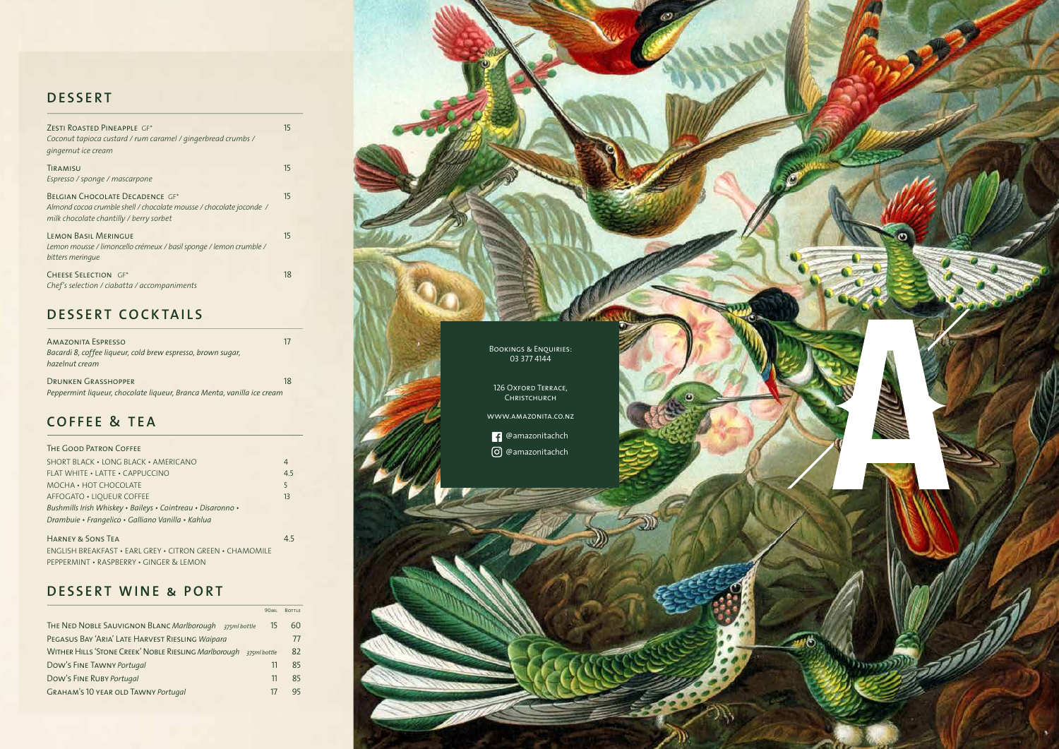

# **DESSERT**

| ZESTI ROASTED PINEAPPLE GF*                                         | 15 |
|---------------------------------------------------------------------|----|
| Coconut tapioca custard / rum caramel / gingerbread crumbs /        |    |
| gingernut ice cream                                                 |    |
|                                                                     |    |
| TIRAMISU                                                            | 15 |
| Espresso / sponge / mascarpone                                      |    |
|                                                                     |    |
| BELGIAN CHOCOLATE DECADENCE GF*                                     | 15 |
| Almond cocoa crumble shell / chocolate mousse / chocolate joconde / |    |
|                                                                     |    |
| milk chocolate chantilly / berry sorbet                             |    |
| <b>LEMON BASIL MERINGUE</b>                                         | 15 |
|                                                                     |    |
| Lemon mousse / limoncello crémeux / basil sponge / lemon crumble /  |    |
| bitters meringue                                                    |    |
|                                                                     |    |
| <b>CHEESE SELECTION GF*</b>                                         | 18 |
| Chef's selection / ciabatta / accompaniments                        |    |
|                                                                     |    |

## **DESSERT COCKTAILS**

Amazonita Espresso 17 *Bacardi 8, coffee liqueur, cold brew espresso, brown sugar, hazelnut cream*

| <b>DRUNKEN GRASSHOPPER</b>                                             |  |
|------------------------------------------------------------------------|--|
| Peppermint liqueur, chocolate liqueur, Branca Menta, vanilla ice cream |  |

#### **COFFEE & TEA**

#### The Good Patron Coffee

| SHORT BLACK • LONG BLACK • AMERICANO                        | 4   |
|-------------------------------------------------------------|-----|
| <b>FLAT WHITE • LATTE • CAPPUCCINO</b>                      | 4.5 |
| MOCHA • HOT CHOCOLATE                                       | 5   |
| AFFOGATO . LIOUEUR COFFEE                                   | 13  |
| Bushmills Irish Whiskey • Baileys • Cointreau • Disaronno • |     |
| Drambuie • Frangelico • Galliano Vanilla • Kahlua           |     |
|                                                             |     |

Harney & Sons Tea 4.5 ENGLISH BREAKFAST • EARL GREY • CITRON GREEN • CHAMOMILE PEPPERMINT • RASPBERRY • GINGER & LEMON

#### **DESSERT WINE & PORT**

| <b>90ML</b>                                                                  | <b>BOTTLE</b> |
|------------------------------------------------------------------------------|---------------|
| THE NED NOBLE SAUVIGNON BLANC Marlborough 375ml bottle<br>15                 | 60            |
| PEGASUS BAY 'ARIA' LATE HARVEST RIESLING Waipara                             |               |
| <b>WITHER HILLS 'STONE CREEK' NOBLE RIESLING Marlborough</b><br>375ml bottle | 82            |
| Dow's FINE TAWNY Portugal<br>11                                              | 85            |
| Dow's FINE RUBY Portugal<br>11                                               | 85            |
| <b>GRAHAM'S 10 YEAR OLD TAWNY Portugal</b><br>$\frac{1}{2}$                  |               |